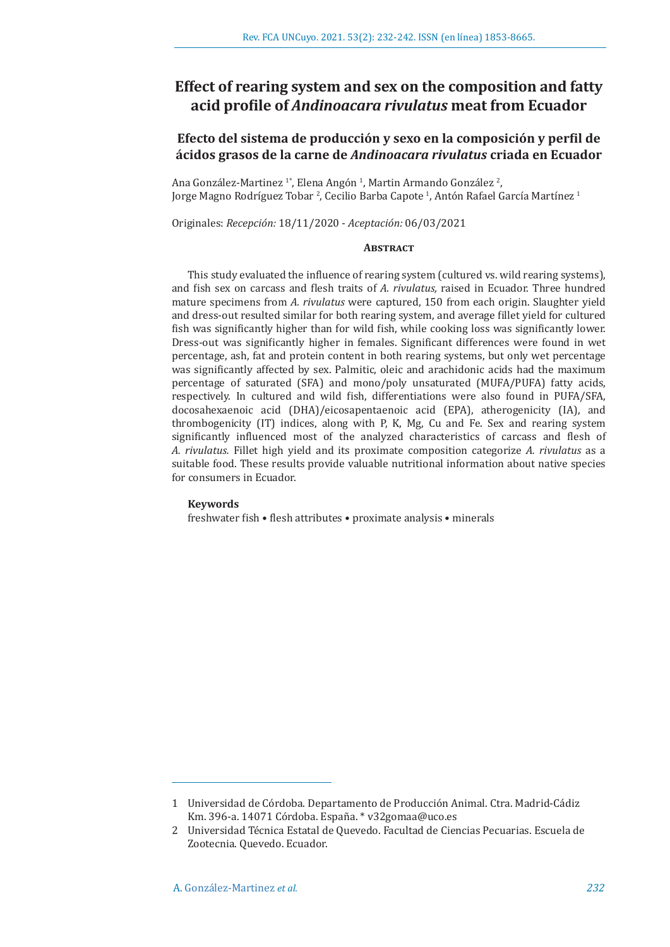# **Effect of rearing system and sex on the composition and fatty acid profile of** *Andinoacara rivulatus* **meat from Ecuador**

# **Efecto del sistema de producción y sexo en la composición y perfil de ácidos grasos de la carne de** *Andinoacara rivulatus* **criada en Ecuador**

Ana González-Martinez <sup>1</sup>\*, Elena Angón <sup>1</sup>, Martin Armando González <sup>2</sup>, Jorge Magno Rodríguez Tobar <sup>2</sup>, Cecilio Barba Capote <sup>1</sup>, Antón Rafael García Martínez <sup>1</sup>

Originales: *Recepción:* 18/11/2020 - *Aceptación:* 06/03/2021

# **ABSTRACT**

This study evaluated the influence of rearing system (cultured vs. wild rearing systems), and fish sex on carcass and flesh traits of *A. rivulatus,* raised in Ecuador. Three hundred mature specimens from *A. rivulatus* were captured, 150 from each origin. Slaughter yield and dress-out resulted similar for both rearing system, and average fillet yield for cultured fish was significantly higher than for wild fish, while cooking loss was significantly lower. Dress-out was significantly higher in females. Significant differences were found in wet percentage, ash, fat and protein content in both rearing systems, but only wet percentage was significantly affected by sex. Palmitic, oleic and arachidonic acids had the maximum percentage of saturated (SFA) and mono/poly unsaturated (MUFA/PUFA) fatty acids, respectively. In cultured and wild fish, differentiations were also found in PUFA/SFA, docosahexaenoic acid (DHA)/eicosapentaenoic acid (EPA), atherogenicity (IA), and thrombogenicity (IT) indices, along with P, K, Mg, Cu and Fe. Sex and rearing system significantly influenced most of the analyzed characteristics of carcass and flesh of *A. rivulatus.* Fillet high yield and its proximate composition categorize *A. rivulatus* as a suitable food. These results provide valuable nutritional information about native species for consumers in Ecuador.

#### **Keywords**

freshwater fish • flesh attributes • proximate analysis • minerals

<sup>1</sup> Universidad de Córdoba. Departamento de Producción Animal. Ctra. Madrid-Cádiz Km. 396-a. 14071 Córdoba. España. \* v32gomaa@uco.es

<sup>2</sup> Universidad Técnica Estatal de Quevedo. Facultad de Ciencias Pecuarias. Escuela de Zootecnia. Quevedo. Ecuador.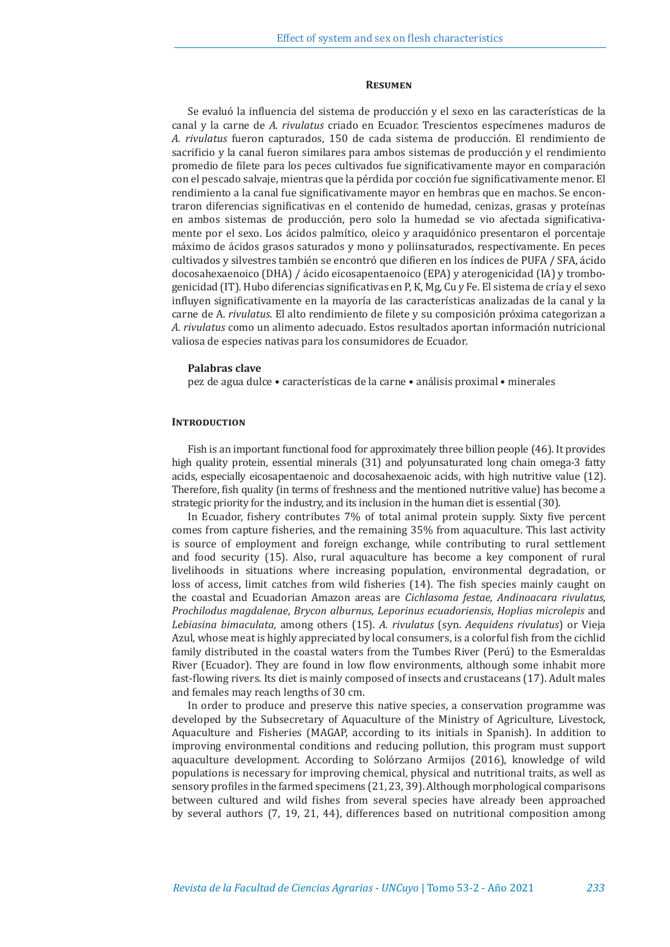#### **Resumen**

Se evaluó la influencia del sistema de producción y el sexo en las características de la canal y la carne de *A. rivulatus* criado en Ecuador. Trescientos especímenes maduros de *A. rivulatus* fueron capturados, 150 de cada sistema de producción. El rendimiento de sacrificio y la canal fueron similares para ambos sistemas de producción y el rendimiento promedio de filete para los peces cultivados fue significativamente mayor en comparación con el pescado salvaje, mientras que la pérdida por cocción fue significativamente menor. El rendimiento a la canal fue significativamente mayor en hembras que en machos. Se encontraron diferencias significativas en el contenido de humedad, cenizas, grasas y proteínas en ambos sistemas de producción, pero solo la humedad se vio afectada significativamente por el sexo. Los ácidos palmítico, oleico y araquidónico presentaron el porcentaje máximo de ácidos grasos saturados y mono y poliinsaturados, respectivamente. En peces cultivados y silvestres también se encontró que difieren en los índices de PUFA / SFA, ácido docosahexaenoico (DHA) / ácido eicosapentaenoico (EPA) y aterogenicidad (IA) y trombogenicidad (IT). Hubo diferencias significativas en P, K, Mg, Cu y Fe. El sistema de cría y el sexo influyen significativamente en la mayoría de las características analizadas de la canal y la carne de A. *rivulatus*. El alto rendimiento de filete y su composición próxima categorizan a *A. rivulatus* como un alimento adecuado. Estos resultados aportan información nutricional valiosa de especies nativas para los consumidores de Ecuador.

#### **Palabras clave**

pez de agua dulce • características de la carne • análisis proximal • minerales

### **Introduction**

Fish is an important functional food for approximately three billion people (46). It provides high quality protein, essential minerals (31) and polyunsaturated long chain omega-3 fatty acids, especially eicosapentaenoic and docosahexaenoic acids, with high nutritive value (12). Therefore, fish quality (in terms of freshness and the mentioned nutritive value) has become a strategic priority for the industry, and its inclusion in the human diet is essential (30).

In Ecuador, fishery contributes 7% of total animal protein supply. Sixty five percent comes from capture fisheries, and the remaining 35% from aquaculture. This last activity is source of employment and foreign exchange, while contributing to rural settlement and food security (15). Also, rural aquaculture has become a key component of rural livelihoods in situations where increasing population, environmental degradation, or loss of access, limit catches from wild fisheries (14). The fish species mainly caught on the coastal and Ecuadorian Amazon areas are *Cichlasoma festae, Andinoacara rivulatus*, *Prochilodus magdalenae*, *Brycon alburnus*, *Leporinus ecuadoriensis*, *Hoplias microlepis* and *Lebiasina bimaculata,* among others (15). *A. rivulatus* (syn. *Aequidens rivulatus*) or Vieja Azul, whose meat is highly appreciated by local consumers, is a colorful fish from the cichlid family distributed in the coastal waters from the Tumbes River (Perú) to the Esmeraldas River (Ecuador). They are found in low flow environments, although some inhabit more fast-flowing rivers. Its diet is mainly composed of insects and crustaceans (17). Adult males and females may reach lengths of 30 cm.

In order to produce and preserve this native species, a conservation programme was developed by the Subsecretary of Aquaculture of the Ministry of Agriculture, Livestock, Aquaculture and Fisheries (MAGAP, according to its initials in Spanish). In addition to improving environmental conditions and reducing pollution, this program must support aquaculture development. According to Solórzano Armijos (2016), knowledge of wild populations is necessary for improving chemical, physical and nutritional traits, as well as sensory profiles in the farmed specimens (21, 23, 39). Although morphological comparisons between cultured and wild fishes from several species have already been approached by several authors (7, 19, 21, 44), differences based on nutritional composition among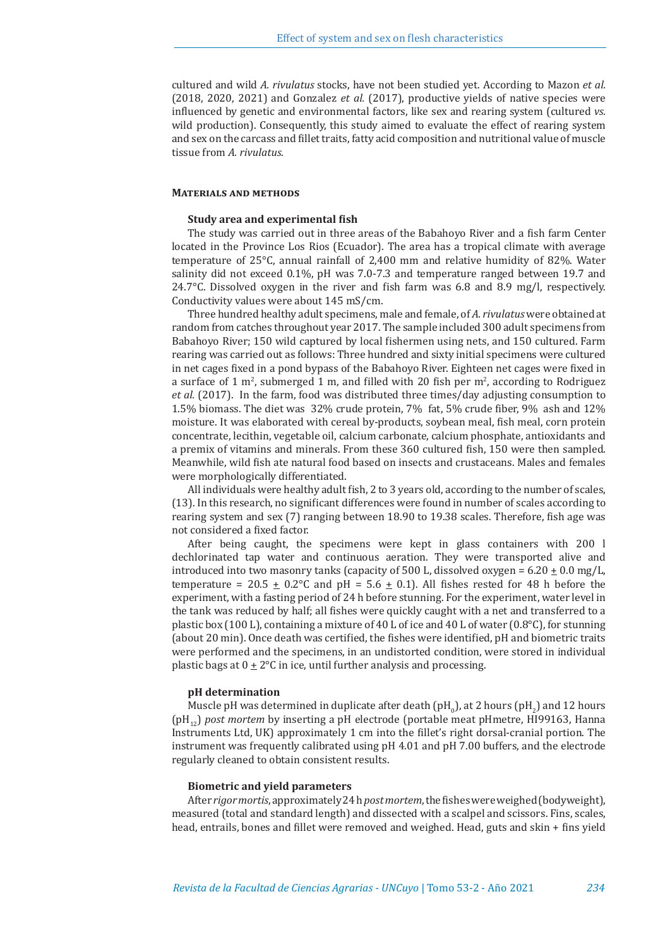cultured and wild *A. rivulatus* stocks, have not been studied yet. According to Mazon *et al.* (2018, 2020, 2021) and Gonzalez *et al.* (2017), productive yields of native species were influenced by genetic and environmental factors, like sex and rearing system (cultured *vs.* wild production). Consequently, this study aimed to evaluate the effect of rearing system and sex on the carcass and fillet traits, fatty acid composition and nutritional value of muscle tissue from *A. rivulatus*.

### **Materials and methods**

#### **Study area and experimental fish**

The study was carried out in three areas of the Babahoyo River and a fish farm Center located in the Province Los Rios (Ecuador). The area has a tropical climate with average temperature of 25°C, annual rainfall of 2,400 mm and relative humidity of 82%. Water salinity did not exceed 0.1%, pH was 7.0-7.3 and temperature ranged between 19.7 and 24.7 $\degree$ C. Dissolved oxygen in the river and fish farm was 6.8 and 8.9 mg/l, respectively. Conductivity values were about 145 mS/cm.

Three hundred healthy adult specimens, male and female, of *A. rivulatus* were obtained at random from catches throughout year 2017. The sample included 300 adult specimens from Babahoyo River; 150 wild captured by local fishermen using nets, and 150 cultured. Farm rearing was carried out as follows: Three hundred and sixty initial specimens were cultured in net cages fixed in a pond bypass of the Babahoyo River. Eighteen net cages were fixed in a surface of 1 m<sup>2</sup>, submerged 1 m, and filled with 20 fish per m<sup>2</sup>, according to Rodriguez *et al.* (2017). In the farm, food was distributed three times/day adjusting consumption to 1.5% biomass. The diet was 32% crude protein, 7% fat, 5% crude fiber, 9% ash and 12% moisture. It was elaborated with cereal by-products, soybean meal, fish meal, corn protein concentrate, lecithin, vegetable oil, calcium carbonate, calcium phosphate, antioxidants and a premix of vitamins and minerals. From these 360 cultured fish, 150 were then sampled. Meanwhile, wild fish ate natural food based on insects and crustaceans. Males and females were morphologically differentiated.

All individuals were healthy adult fish, 2 to 3 years old, according to the number of scales, (13). In this research, no significant differences were found in number of scales according to rearing system and sex (7) ranging between 18.90 to 19.38 scales. Therefore, fish age was not considered a fixed factor.

After being caught, the specimens were kept in glass containers with 200 l dechlorinated tap water and continuous aeration. They were transported alive and introduced into two masonry tanks (capacity of 500 L, dissolved oxygen =  $6.20 \pm 0.0$  mg/L, temperature = 20.5  $\pm$  0.2°C and pH = 5.6  $\pm$  0.1). All fishes rested for 48 h before the experiment, with a fasting period of 24 h before stunning. For the experiment, water level in the tank was reduced by half; all fishes were quickly caught with a net and transferred to a plastic box (100 L), containing a mixture of 40 L of ice and 40 L of water (0.8 $^{\circ}$ C), for stunning (about 20 min). Once death was certified, the fishes were identified, pH and biometric traits were performed and the specimens, in an undistorted condition, were stored in individual plastic bags at  $0 \pm 2^{\circ}$ C in ice, until further analysis and processing.

# **pH determination**

Muscle pH was determined in duplicate after death  $\text{(pH}_{0})$ , at 2 hours  $\text{(pH}_{2})$  and 12 hours  $\text{m}$ (pH12) *post mortem* by inserting a pH electrode (portable meat pHmetre, HI99163, Hanna Instruments Ltd, UK) approximately 1 cm into the fillet's right dorsal-cranial portion. The instrument was frequently calibrated using pH 4.01 and pH 7.00 buffers, and the electrode regularly cleaned to obtain consistent results.

#### **Biometric and yield parameters**

After *rigor mortis*, approximately 24 h *post mortem*, the fishes were weighed (bodyweight), measured (total and standard length) and dissected with a scalpel and scissors. Fins, scales, head, entrails, bones and fillet were removed and weighed. Head, guts and skin + fins yield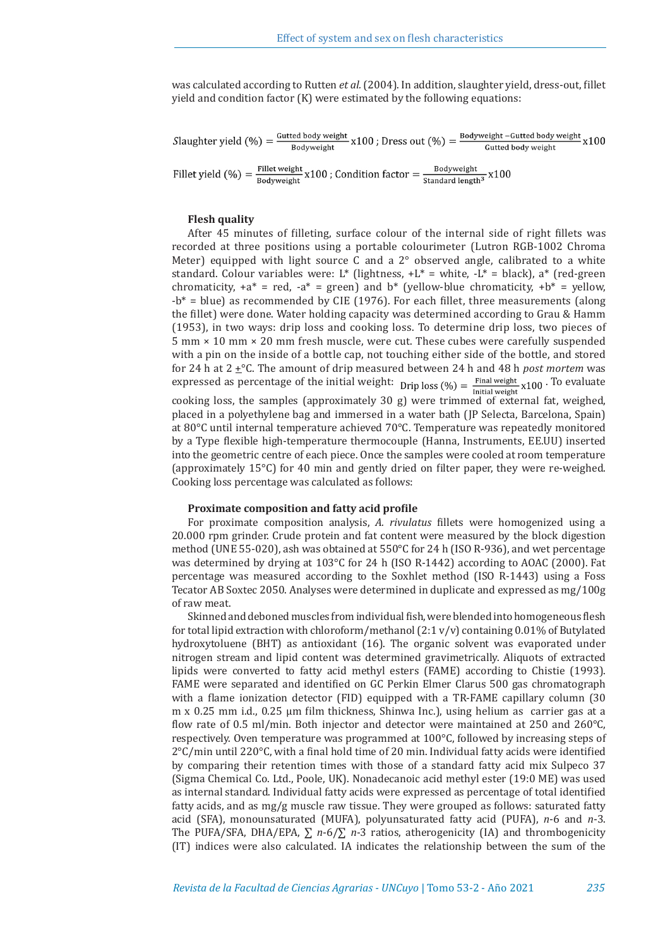was calculated according to Rutten *et al.* (2004). In addition, slaughter yield, dress-out, fillet yield and condition factor (K) were estimated by the following equations:

Slaughter yield  $(\%) = \frac{$ Gutted body weight  $x100$ ; Dress out  $(\%) = \frac{$  Bodyweight -Gutted body weight  $x100$ Fillet yield  $(\%) = \frac{\text{Fillet weight}}{\text{Bodyweight}} \times 100$ ; Condition factor  $= \frac{\text{Bodyweight}}{\text{Standard length}^3} \times 100$ 

# **Flesh quality**

After 45 minutes of filleting, surface colour of the internal side of right fillets was recorded at three positions using a portable colourimeter (Lutron RGB-1002 Chroma Meter) equipped with light source C and a  $2^{\circ}$  observed angle, calibrated to a white standard. Colour variables were: L\* (lightness,  $+L^*$  = white,  $-L^*$  = black), a\* (red-green chromaticity,  $+a^* = red$ ,  $-a^* = green$ ) and  $b^*$  (yellow-blue chromaticity,  $+b^* =$  yellow,  $-b^*$  = blue) as recommended by CIE (1976). For each fillet, three measurements (along the fillet) were done. Water holding capacity was determined according to Grau & Hamm (1953), in two ways: drip loss and cooking loss. To determine drip loss, two pieces of 5 mm × 10 mm × 20 mm fresh muscle, were cut. These cubes were carefully suspended with a pin on the inside of a bottle cap, not touching either side of the bottle, and stored for 24 h at  $2 \pm {}^{\circ}C$ . The amount of drip measured between 24 h and 48 h *post mortem* was expressed as percentage of the initial weight: Drip loss (%) =  $\frac{\text{Final weight}}{\text{Initial weight}} \times 100$ . To evaluate cooking loss, the samples (approximately 30 g) were trimmed of external fat, weighed, placed in a polyethylene bag and immersed in a water bath (JP Selecta, Barcelona, Spain) at 80°C until internal temperature achieved 70°C. Temperature was repeatedly monitored by a Type flexible high-temperature thermocouple (Hanna, Instruments, EE.UU) inserted into the geometric centre of each piece. Once the samples were cooled at room temperature (approximately 15°C) for 40 min and gently dried on filter paper, they were re-weighed. Cooking loss percentage was calculated as follows:

# **Proximate composition and fatty acid profile**

For proximate composition analysis, *A. rivulatus* fillets were homogenized using a 20.000 rpm grinder. Crude protein and fat content were measured by the block digestion method (UNE 55-020), ash was obtained at 550°C for 24 h (ISO R-936), and wet percentage was determined by drying at 103°C for 24 h (ISO R-1442) according to AOAC (2000). Fat percentage was measured according to the Soxhlet method (ISO R-1443) using a Foss Tecator AB Soxtec 2050. Analyses were determined in duplicate and expressed as mg/100g of raw meat.

Skinned and deboned muscles from individual fish, were blended into homogeneous flesh for total lipid extraction with chloroform/methanol  $(2.1 \text{ v/v})$  containing 0.01% of Butylated hydroxytoluene (BHT) as antioxidant (16). The organic solvent was evaporated under nitrogen stream and lipid content was determined gravimetrically. Aliquots of extracted lipids were converted to fatty acid methyl esters (FAME) according to Chistie (1993). FAME were separated and identified on GC Perkin Elmer Clarus 500 gas chromatograph with a flame ionization detector (FID) equipped with a TR-FAME capillary column (30 m x 0.25 mm i.d., 0.25  $\mu$ m film thickness, Shinwa Inc.), using helium as carrier gas at a flow rate of 0.5 ml/min. Both injector and detector were maintained at 250 and 260°C, respectively. Oven temperature was programmed at 100°C, followed by increasing steps of 2°C/min until 220°C, with a final hold time of 20 min. Individual fatty acids were identified by comparing their retention times with those of a standard fatty acid mix Sulpeco 37 (Sigma Chemical Co. Ltd., Poole, UK). Nonadecanoic acid methyl ester (19:0 ME) was used as internal standard. Individual fatty acids were expressed as percentage of total identified fatty acids, and as mg/g muscle raw tissue. They were grouped as follows: saturated fatty acid (SFA), monounsaturated (MUFA), polyunsaturated fatty acid (PUFA), *n*-6 and *n*-3. The PUFA/SFA, DHA/EPA, ∑ *n*-6/∑ *n*-3 ratios, atherogenicity (IA) and thrombogenicity (IT) indices were also calculated. IA indicates the relationship between the sum of the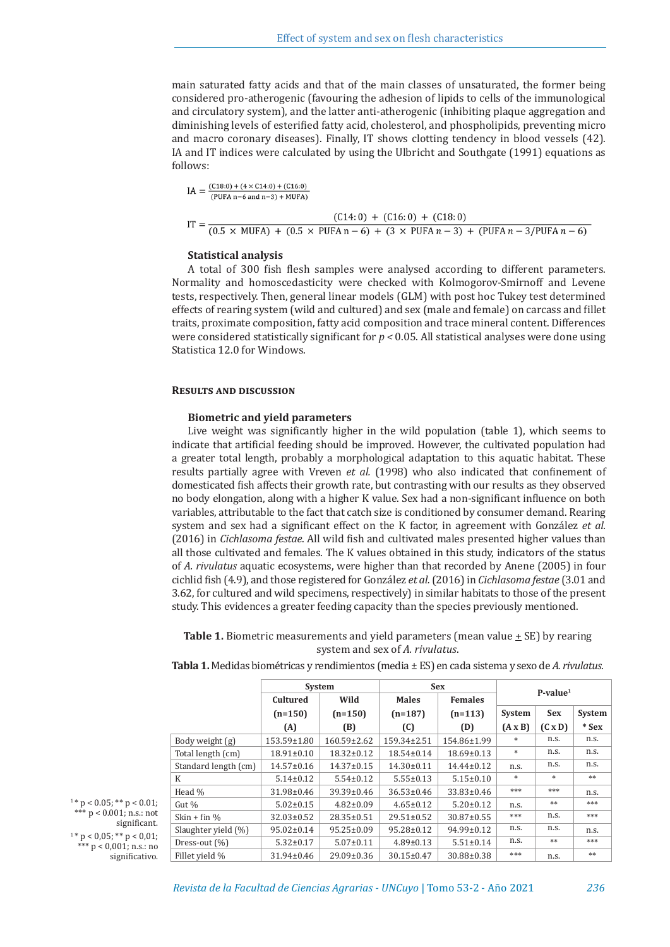main saturated fatty acids and that of the main classes of unsaturated, the former being considered pro-atherogenic (favouring the adhesion of lipids to cells of the immunological and circulatory system), and the latter anti-atherogenic (inhibiting plaque aggregation and diminishing levels of esterified fatty acid, cholesterol, and phospholipids, preventing micro and macro coronary diseases). Finally, IT shows clotting tendency in blood vessels (42). IA and IT indices were calculated by using the Ulbricht and Southgate (1991) equations as follows:

$$
IA = \frac{(C18:0) + (4 \times C14:0) + (C16:0)}{(PUFA n - 6 \text{ and } n - 3) + MUFA}
$$
  
\n
$$
IT = \frac{(C14:0) + (C16:0) + (C18:0)}{(0.5 \times MUFA) + (0.5 \times PUFA n - 6) + (3 \times PUFA n - 3) + (PUFA n - 3/PUFA n - 6)}
$$

# **Statistical analysis**

A total of 300 fish flesh samples were analysed according to different parameters. Normality and homoscedasticity were checked with Kolmogorov-Smirnoff and Levene tests, respectively. Then, general linear models (GLM) with post hoc Tukey test determined effects of rearing system (wild and cultured) and sex (male and female) on carcass and fillet traits, proximate composition, fatty acid composition and trace mineral content. Differences were considered statistically significant for  $p < 0.05$ . All statistical analyses were done using Statistica 12.0 for Windows.

#### **Results and discussion**

# **Biometric and yield parameters**

Live weight was significantly higher in the wild population (table 1), which seems to indicate that artificial feeding should be improved. However, the cultivated population had a greater total length, probably a morphological adaptation to this aquatic habitat. These results partially agree with Vreven *et al.* (1998) who also indicated that confinement of domesticated fish affects their growth rate, but contrasting with our results as they observed no body elongation, along with a higher K value. Sex had a non-significant influence on both variables, attributable to the fact that catch size is conditioned by consumer demand. Rearing system and sex had a significant effect on the K factor, in agreement with González *et al.* (2016) in *Cichlasoma festae*. All wild fish and cultivated males presented higher values than all those cultivated and females. The K values obtained in this study, indicators of the status of *A. rivulatus* aquatic ecosystems, were higher than that recorded by Anene (2005) in four cichlid fish (4.9), and those registered for González *et al.* (2016) in *Cichlasoma festae* (3.01 and 3.62, for cultured and wild specimens, respectively) in similar habitats to those of the present study. This evidences a greater feeding capacity than the species previously mentioned.

# **Table 1.** Biometric measurements and yield parameters (mean value  $\pm$  SE) by rearing system and sex of *A. rivulatus*.

|                        | System           |                   | <b>Sex</b>       |                  | $P-value1$     |                |         |
|------------------------|------------------|-------------------|------------------|------------------|----------------|----------------|---------|
|                        | Cultured         | Wild              | <b>Males</b>     | <b>Females</b>   |                |                |         |
|                        | $(n=150)$        | $(n=150)$         | $(n=187)$        | $(n=113)$        | System         | <b>Sex</b>     | System  |
|                        | (A)              | (B)               | (C)              | (D)              | $(A \times B)$ | $(C \times D)$ | $*$ Sex |
| Body weight (g)        | 153.59±1.80      | $160.59 \pm 2.62$ | 159.34±2.51      | 154.86±1.99      | $*$            | n.s.           | n.s.    |
| Total length (cm)      | $18.91 \pm 0.10$ | $18.32 \pm 0.12$  | $18.54 \pm 0.14$ | $18.69 \pm 0.13$ | $*$            | n.s.           | n.s.    |
| Standard length (cm)   | $14.57 \pm 0.16$ | $14.37 \pm 0.15$  | $14.30 \pm 0.11$ | $14.44 \pm 0.12$ | n.s.           | n.s.           | n.s.    |
| K                      | $5.14 \pm 0.12$  | $5.54 \pm 0.12$   | $5.55 \pm 0.13$  | $5.15 \pm 0.10$  | $*$            | $\pm$          | **      |
| Head %                 | 31.98±0.46       | 39.39±0.46        | $36.53 \pm 0.46$ | 33.83±0.46       | ***            | ***            | n.s.    |
| Gut %                  | $5.02 \pm 0.15$  | $4.82 \pm 0.09$   | $4.65 \pm 0.12$  | $5.20 \pm 0.12$  | n.s.           | $**$           | ***     |
| Skin + fin $\%$        | $32.03 \pm 0.52$ | $28.35 \pm 0.51$  | $29.51 \pm 0.52$ | $30.87 \pm 0.55$ | ***            | n.s.           | ***     |
| Slaughter yield $(\%)$ | $95.02 \pm 0.14$ | $95.25 \pm 0.09$  | $95.28 \pm 0.12$ | $94.99 \pm 0.12$ | n.s.           | n.s.           | n.s.    |
| Dress-out $(\%)$       | $5.32 \pm 0.17$  | $5.07 \pm 0.11$   | $4.89 \pm 0.13$  | $5.51 \pm 0.14$  | n.s.           | $**$           | ***     |
| Fillet vield %         | $31.94 \pm 0.46$ | $29.09 \pm 0.36$  | $30.15 \pm 0.47$ | 30.88±0.38       | ***            | n.s.           | **      |

**Tabla 1.** Medidas biométricas y rendimientos (media ± ES) en cada sistema y sexo de *A. rivulatus*.

 $1 * p < 0.05$ ; \*\*  $p < 0.01$ ; \*\*\* p < 0.001; n.s.: not significant.  $1 * p < 0.05$ ; \*\*  $p < 0.01$ ;  $*$  p < 0,001; n.s.: no significativo.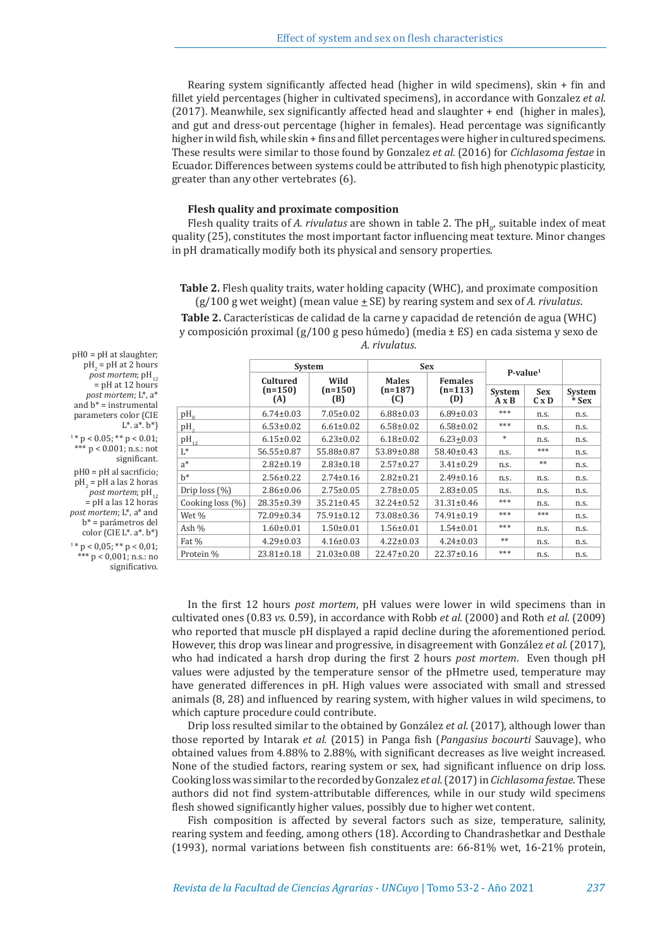Rearing system significantly affected head (higher in wild specimens), skin + fin and fillet yield percentages (higher in cultivated specimens), in accordance with Gonzalez *et al.*  (2017). Meanwhile, sex significantly affected head and slaughter + end (higher in males), and gut and dress-out percentage (higher in females). Head percentage was significantly higher in wild fish, while skin + fins and fillet percentages were higher in cultured specimens. These results were similar to those found by Gonzalez *et al.* (2016) for *Cichlasoma festae* in Ecuador. Differences between systems could be attributed to fish high phenotypic plasticity, greater than any other vertebrates (6).

# **Flesh quality and proximate composition**

Flesh quality traits of *A. rivulatus* are shown in table 2. The  $pH_0$ , suitable index of meat quality (25), constitutes the most important factor influencing meat texture. Minor changes in pH dramatically modify both its physical and sensory properties.

**Table 2.** Flesh quality traits, water holding capacity (WHC), and proximate composition  $(g/100 g$  wet weight) (mean value  $\pm$  SE) by rearing system and sex of *A. rivulatus*.

**Table 2.** Características de calidad de la carne y capacidad de retención de agua (WHC) y composición proximal (g/100 g peso húmedo) (media ± ES) en cada sistema y sexo de *A. rivulatus.*

|                  | System           |                                      | <b>Sex</b>       |                  | $P-value1$             |                            |                   |
|------------------|------------------|--------------------------------------|------------------|------------------|------------------------|----------------------------|-------------------|
|                  | Cultured         | Wild                                 | <b>Males</b>     | <b>Females</b>   |                        |                            |                   |
|                  | $(n=150)$<br>(A) | $(n=150)$<br>$(n=187)$<br>(B)<br>(C) |                  | $(n=113)$<br>(D) | System<br>$A \times B$ | <b>Sex</b><br>$C \times D$ | System<br>$*$ Sex |
| $\rm{pH}_{0}$    | $6.74 \pm 0.03$  | $7.05 \pm 0.02$                      | $6.88 \pm 0.03$  | $6.89 \pm 0.03$  | ***<br>n.s.            |                            | n.s.              |
| pH <sub>2</sub>  | $6.53 \pm 0.02$  | $6.61 \pm 0.02$                      | $6.58 \pm 0.02$  | $6.58 \pm 0.02$  | ***                    | n.s.                       | n.s.              |
| $pH_{12}$        | $6.15 \pm 0.02$  | $6.23 \pm 0.02$                      | $6.18 \pm 0.02$  | $6.23 \pm 0.03$  | $*$                    | n.s.                       | n.s.              |
| L*               | $56.55 \pm 0.87$ | 55.88±0.87                           | 53.89±0.88       | 58.40±0.43       | n.s.                   | ***                        | n.s.              |
| a*               | $2.82 \pm 0.19$  | $2.83 \pm 0.18$                      | $2.57 \pm 0.27$  | $3.41 \pm 0.29$  | n.s.                   | **                         | n.s.              |
| $h^*$            | $2.56 \pm 0.22$  | $2.74 \pm 0.16$                      | $2.82 \pm 0.21$  | $2.49 \pm 0.16$  | n.s.<br>n.s.           |                            | n.s.              |
| Drip $loss(%)$   | $2.86 \pm 0.06$  | $2.75 \pm 0.05$                      | $2.78 \pm 0.05$  | $2.83 \pm 0.05$  | n.s.                   | n.s.                       | n.s.              |
| Cooking loss (%) | $28.35 \pm 0.39$ | $35.21 \pm 0.45$                     | $32.24 \pm 0.52$ | $31.31 \pm 0.46$ | ***                    | n.s.                       | n.s.              |
| Wet %            | 72.09±0.34       | $75.91 \pm 0.12$                     | 73.08±0.36       | 74.91±0.19       | ***                    | ***                        | n.s.              |
| Ash %            | $1.60 \pm 0.01$  | $1.50 \pm 0.01$                      | $1.56 \pm 0.01$  | $1.54 \pm 0.01$  | ***<br>n.s.            |                            | n.s.              |
| Fat %            | $4.29 \pm 0.03$  | $4.16 \pm 0.03$                      | $4.22 \pm 0.03$  | $4.24 \pm 0.03$  | **<br>n.s.             |                            | n.s.              |
| Protein %        | $23.81 \pm 0.18$ | $21.03 \pm 0.08$                     | 22.47±0.20       | $22.37 \pm 0.16$ | ***                    | n.s.                       | n.s.              |

 $\text{pH}_2$  =  $\text{pH}$  at 2 hours  $\overline{post}$  *mortem*;  $\text{pH}_{12}$  $=$  pH at 12 hours *post mortem*; L\*, a\* and  $h^* =$  instrumental parameters color (CIE  $L^*$ .  $a^*$ .  $b^*$ )  $1 * p < 0.05$ ; \*\*  $p < 0.01$ ;

pH0 = pH at slaughter;

 $^{\star*}$  p < 0.001; n.s.: not significant.

pH0 = pH al sacrificio;  $\text{pH}_2$  =  $\text{pH}$  a las 2 horas  $$  $=$  pH a las 12 horas *post mortem*; L\*, a\* and b\* = parámetros del color (CIE L\*. a\*. b\*)  $1 * p < 0.05$ ; \*\*  $p < 0.01$ ; \*\*\*  $p < 0.001$ ; n.s.: no significativo.

> In the first 12 hours *post mortem*, pH values were lower in wild specimens than in cultivated ones (0.83 *vs.* 0.59), in accordance with Robb *et al.* (2000) and Roth *et al.* (2009) who reported that muscle pH displayed a rapid decline during the aforementioned period. However, this drop was linear and progressive, in disagreement with González *et al.* (2017), who had indicated a harsh drop during the first 2 hours *post mortem*. Even though pH values were adjusted by the temperature sensor of the pHmetre used, temperature may have generated differences in pH. High values were associated with small and stressed animals (8, 28) and influenced by rearing system, with higher values in wild specimens, to which capture procedure could contribute.

> Drip loss resulted similar to the obtained by González *et al.* (2017), although lower than those reported by Intarak *et al.* (2015) in Panga fish (*Pangasius bocourti* Sauvage), who obtained values from 4.88% to 2.88%, with significant decreases as live weight increased. None of the studied factors, rearing system or sex, had significant influence on drip loss. Cooking loss was similar to the recorded by Gonzalez *et al.* (2017) in *Cichlasoma festae*. These authors did not find system-attributable differences, while in our study wild specimens flesh showed significantly higher values, possibly due to higher wet content.

> Fish composition is affected by several factors such as size, temperature, salinity, rearing system and feeding, among others (18). According to Chandrashetkar and Desthale (1993), normal variations between fish constituents are: 66-81% wet, 16-21% protein,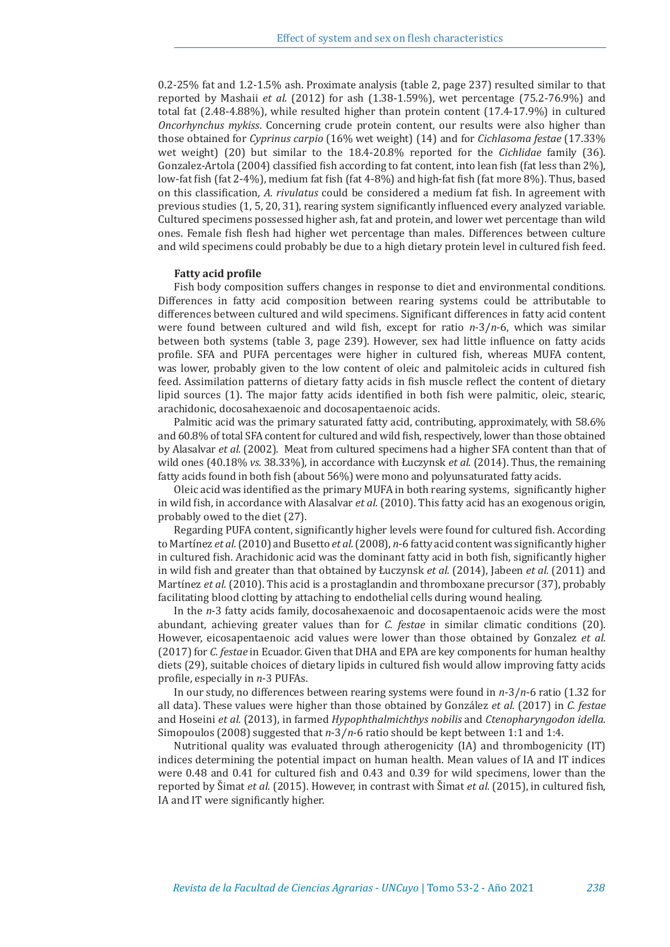0.2-25% fat and 1.2-1.5% ash. Proximate analysis (table 2, page 237) resulted similar to that reported by Mashaii *et al.* (2012) for ash (1.38-1.59%), wet percentage (75.2-76.9%) and total fat (2.48-4.88%), while resulted higher than protein content (17.4-17.9%) in cultured *Oncorhynchus mykiss*. Concerning crude protein content, our results were also higher than those obtained for *Cyprinus carpio* (16% wet weight) (14) and for *Cichlasoma festae* (17.33% wet weight) (20) but similar to the 18.4-20.8% reported for the *Cichlidae* family (36). Gonzalez-Artola (2004) classified fish according to fat content, into lean fish (fat less than 2%), low-fat fish (fat 2-4%), medium fat fish (fat 4-8%) and high-fat fish (fat more 8%). Thus, based on this classification, *A. rivulatus* could be considered a medium fat fish. In agreement with previous studies (1, 5, 20, 31), rearing system significantly influenced every analyzed variable. Cultured specimens possessed higher ash, fat and protein, and lower wet percentage than wild ones. Female fish flesh had higher wet percentage than males. Differences between culture and wild specimens could probably be due to a high dietary protein level in cultured fish feed.

#### **Fatty acid profile**

Fish body composition suffers changes in response to diet and environmental conditions. Differences in fatty acid composition between rearing systems could be attributable to differences between cultured and wild specimens. Significant differences in fatty acid content were found between cultured and wild fish, except for ratio *n*-3/*n*-6, which was similar between both systems (table 3, page 239). However, sex had little influence on fatty acids profile. SFA and PUFA percentages were higher in cultured fish, whereas MUFA content, was lower, probably given to the low content of oleic and palmitoleic acids in cultured fish feed. Assimilation patterns of dietary fatty acids in fish muscle reflect the content of dietary lipid sources (1). The major fatty acids identified in both fish were palmitic, oleic, stearic, arachidonic, docosahexaenoic and docosapentaenoic acids.

Palmitic acid was the primary saturated fatty acid, contributing, approximately, with 58.6% and 60.8% of total SFA content for cultured and wild fish, respectively, lower than those obtained by Alasalvar *et al.* (2002). Meat from cultured specimens had a higher SFA content than that of wild ones (40.18% *vs.* 38.33%), in accordance with Łuczynsk *et al.* (2014). Thus, the remaining fatty acids found in both fish (about 56%) were mono and polyunsaturated fatty acids.

Oleic acid was identified as the primary MUFA in both rearing systems, significantly higher in wild fish, in accordance with Alasalvar *et al.* (2010). This fatty acid has an exogenous origin, probably owed to the diet (27).

Regarding PUFA content, significantly higher levels were found for cultured fish. According to Martínez *et al.* (2010) and Busetto *et al.* (2008), *n*-6 fatty acid content was significantly higher in cultured fish. Arachidonic acid was the dominant fatty acid in both fish, significantly higher in wild fish and greater than that obtained by Łuczynsk *et al.* (2014), Jabeen *et al.* (2011) and Martínez *et al.* (2010). This acid is a prostaglandin and thromboxane precursor (37), probably facilitating blood clotting by attaching to endothelial cells during wound healing.

In the *n*-3 fatty acids family, docosahexaenoic and docosapentaenoic acids were the most abundant, achieving greater values than for *C. festae* in similar climatic conditions (20). However, eicosapentaenoic acid values were lower than those obtained by Gonzalez *et al.*  (2017) for *C. festae* in Ecuador. Given that DHA and EPA are key components for human healthy diets (29), suitable choices of dietary lipids in cultured fish would allow improving fatty acids profile, especially in *n*-3 PUFAs.

In our study, no differences between rearing systems were found in *n*-3/*n*-6 ratio (1.32 for all data). These values were higher than those obtained by González *et al.* (2017) in *C. festae*  and Hoseini *et al.* (2013), in farmed *Hypophthalmichthys nobilis* and *Ctenopharyngodon idella*. Simopoulos (2008) suggested that *n*-3⁄*n*-6 ratio should be kept between 1:1 and 1:4.

Nutritional quality was evaluated through atherogenicity (IA) and thrombogenicity (IT) indices determining the potential impact on human health. Mean values of IA and IT indices were 0.48 and 0.41 for cultured fish and 0.43 and 0.39 for wild specimens, lower than the reported by Šimat *et al.* (2015). However, in contrast with Šimat *et al.* (2015), in cultured fish, IA and IT were significantly higher.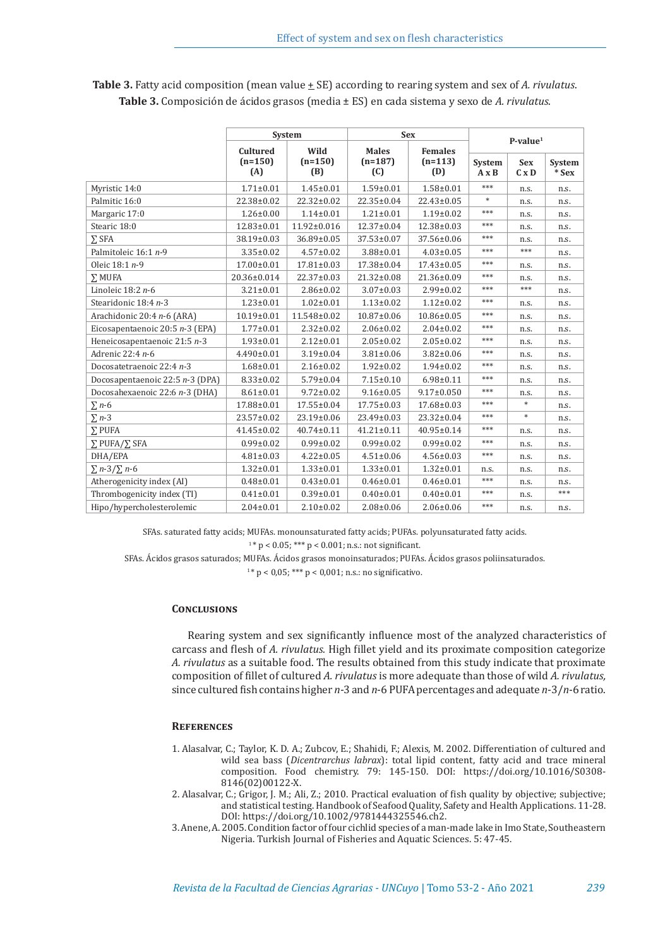|                                 | <b>System</b>    |                  | <b>Sex</b>       | $P-value1$       |                               |                            |                          |
|---------------------------------|------------------|------------------|------------------|------------------|-------------------------------|----------------------------|--------------------------|
|                                 | <b>Cultured</b>  | Wild             | <b>Males</b>     | <b>Females</b>   |                               |                            |                          |
|                                 | $(n=150)$<br>(A) | $(n=150)$<br>(B) | $(n=187)$<br>(C) | $(n=113)$<br>(D) | <b>System</b><br>$A \times B$ | <b>Sex</b><br>$C \times D$ | <b>System</b><br>$*$ Sex |
| Myristic 14:0                   | $1.71 \pm 0.01$  | $1.45 \pm 0.01$  | $1.59 \pm 0.01$  | $1.58 \pm 0.01$  | ***                           | n.s.                       | n.s.                     |
| Palmitic 16:0                   | 22.38±0.02       | $22.32 \pm 0.02$ | $22.35 \pm 0.04$ | 22.43±0.05       | *                             | n.s.                       | n.s.                     |
| Margaric 17:0                   | $1.26 \pm 0.00$  | $1.14 \pm 0.01$  | $1.21 \pm 0.01$  | $1.19 \pm 0.02$  | ***                           | n.s.                       | n.s.                     |
| Stearic 18:0                    | 12.83±0.01       | 11.92±0.016      | $12.37 \pm 0.04$ | 12.38±0.03       | ***                           | n.s.                       | n.s.                     |
| $\Sigma$ SFA                    | 38.19±0.03       | 36.89±0.05       | 37.53±0.07       | 37.56±0.06       | ***                           | n.s.                       | n.s.                     |
| Palmitoleic 16:1 n-9            | $3.35 \pm 0.02$  | $4.57 \pm 0.02$  | $3.88 \pm 0.01$  | $4.03 \pm 0.05$  | ***                           | ***                        | n.s.                     |
| Oleic 18:1 n-9                  | 17.00±0.01       | $17.81 \pm 0.03$ | 17.38±0.04       | $17.43 \pm 0.05$ | ***                           | n.s.                       | n.s.                     |
| $\Sigma$ MUFA                   | 20.36±0.014      | 22.37±0.03       | $21.32 \pm 0.08$ | $21.36 \pm 0.09$ | ***                           | n.s.                       | n.s.                     |
| Linoleic $18:2n-6$              | $3.21 \pm 0.01$  | $2.86 \pm 0.02$  | $3.07 \pm 0.03$  | $2.99 \pm 0.02$  | ***                           | ***                        | n.s.                     |
| Stearidonic 18:4 n-3            | $1.23 \pm 0.01$  | $1.02 \pm 0.01$  | $1.13 \pm 0.02$  | $1.12 \pm 0.02$  | ***                           | n.s.                       | n.s.                     |
| Arachidonic 20:4 n-6 (ARA)      | 10.19±0.01       | 11.548±0.02      | $10.87 \pm 0.06$ | 10.86±0.05       | ***                           | n.s.                       | n.s.                     |
| Eicosapentaenoic 20:5 n-3 (EPA) | $1.77 \pm 0.01$  | $2.32 \pm 0.02$  | $2.06 \pm 0.02$  | $2.04 \pm 0.02$  | $***$                         | n.s.                       | n.s.                     |
| Heneicosapentaenoic 21:5 n-3    | $1.93 \pm 0.01$  | $2.12 \pm 0.01$  | $2.05 \pm 0.02$  | $2.05 \pm 0.02$  | ***                           | n.s.                       | n.s.                     |
| Adrenic 22:4 n-6                | $4.490 \pm 0.01$ | $3.19 \pm 0.04$  | $3.81 \pm 0.06$  | $3.82 \pm 0.06$  | ***                           | n.s.                       | n.s.                     |
| Docosatetraenoic 22:4 n-3       | $1.68 \pm 0.01$  | $2.16 \pm 0.02$  | $1.92 \pm 0.02$  | $1.94 \pm 0.02$  | ***                           | n.s.                       | n.s.                     |
| Docosapentaenoic 22:5 n-3 (DPA) | $8.33 \pm 0.02$  | $5.79 \pm 0.04$  | $7.15 \pm 0.10$  | $6.98 \pm 0.11$  | ***                           | n.s.                       | n.s.                     |
| Docosahexaenoic 22:6 n-3 (DHA)  | $8.61 \pm 0.01$  | $9.72 \pm 0.02$  | $9.16 \pm 0.05$  | $9.17 \pm 0.050$ | ***                           | n.s.                       | n.s.                     |
| $\Sigma$ n-6                    | 17.88±0.01       | $17.55 \pm 0.04$ | $17.75 \pm 0.03$ | 17.68±0.03       | ***                           | $\ast$                     | n.s.                     |
| $\Sigma$ n-3                    | 23.57±0.02       | 23.19±0.06       | 23.49±0.03       | 23.32±0.04       | ***                           | $\ast$                     | n.s.                     |
| $\Sigma$ PUFA                   | $41.45 \pm 0.02$ | $40.74 \pm 0.11$ | $41.21 \pm 0.11$ | 40.95±0.14       | ***                           | n.s.                       | n.s.                     |
| $\Sigma$ PUFA/ $\Sigma$ SFA     | $0.99 \pm 0.02$  | $0.99 \pm 0.02$  | $0.99 \pm 0.02$  | $0.99 \pm 0.02$  | ***                           | n.s.                       | n.s.                     |
| DHA/EPA                         | $4.81 \pm 0.03$  | $4.22 \pm 0.05$  | $4.51 \pm 0.06$  | $4.56 \pm 0.03$  | ***                           | n.s.                       | n.s.                     |
| $\Sigma$ n-3/ $\Sigma$ n-6      | $1.32 \pm 0.01$  | $1.33 \pm 0.01$  | $1.33 \pm 0.01$  | $1.32 \pm 0.01$  | n.s.                          | n.s.                       | n.s.                     |
| Atherogenicity index (AI)       | $0.48 + 0.01$    | $0.43 \pm 0.01$  | $0.46 \pm 0.01$  | $0.46 \pm 0.01$  | $***$                         | n.s.                       | n.s.                     |
| Thrombogenicity index (TI)      | $0.41 \pm 0.01$  | $0.39 \pm 0.01$  | $0.40 \pm 0.01$  | $0.40 \pm 0.01$  | ***                           | n.s.                       | $***$                    |
| Hipo/hypercholesterolemic       | $2.04 \pm 0.01$  | $2.10\pm0.02$    | $2.08 \pm 0.06$  | $2.06 \pm 0.06$  | ***                           | n.s.                       | n.s.                     |

**Table 3.** Fatty acid composition (mean value  $\pm$  SE) according to rearing system and sex of *A. rivulatus*. **Table 3.** Composición de ácidos grasos (media ± ES) en cada sistema y sexo de *A. rivulatus*.

SFAs. saturated fatty acids; MUFAs. monounsaturated fatty acids; PUFAs. polyunsaturated fatty acids.

 $1* p < 0.05$ ; \*\*\*  $p < 0.001$ ; n.s.: not significant.

SFAs. Ácidos grasos saturados; MUFAs. Ácidos grasos monoinsaturados; PUFAs. Ácidos grasos poliinsaturados.

 $1* p < 0.05$ ; \*\*\*  $p < 0.001$ ; n.s.: no significativo.

# **Conclusions**

Rearing system and sex significantly influence most of the analyzed characteristics of carcass and flesh of *A. rivulatus.* High fillet yield and its proximate composition categorize *A. rivulatus* as a suitable food. The results obtained from this study indicate that proximate composition of fillet of cultured *A. rivulatus* is more adequate than those of wild *A. rivulatus,*  since cultured fish contains higher *n*-3 and *n*-6 PUFA percentages and adequate *n*-3/*n*-6 ratio.

#### **References**

- 1. Alasalvar, C.; Taylor, K. D. A.; Zubcov, E.; Shahidi, F.; Alexis, M. 2002. Differentiation of cultured and wild sea bass (*Dicentrarchus labrax*): total lipid content, fatty acid and trace mineral composition. Food chemistry. 79: 145-150. DOI: https://doi.org/10.1016/S0308- 8146(02)00122-X.
- 2. Alasalvar, C.; Grigor, J. M.; Ali, Z.; 2010. Practical evaluation of fish quality by objective; subjective; and statistical testing. Handbook of Seafood Quality, Safety and Health Applications. 11-28. DOI: https://doi.org/10.1002/9781444325546.ch2.
- 3. Anene, A. 2005. Condition factor of four cichlid species of a man-made lake in Imo State, Southeastern Nigeria. Turkish Journal of Fisheries and Aquatic Sciences. 5: 47-45.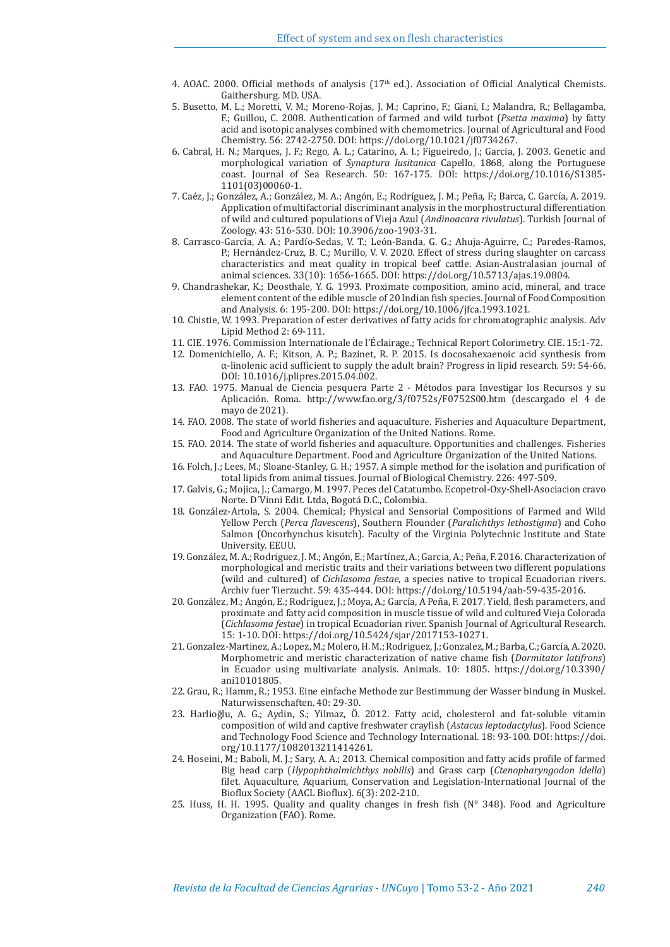- 4. AOAC. 2000. Official methods of analysis  $(17<sup>th</sup>$  ed.). Association of Official Analytical Chemists. Gaithersburg. MD. USA.
- 5. Busetto, M. L.; Moretti, V. M.; Moreno-Rojas, J. M.; Caprino, F.; Giani, I.; Malandra, R.; Bellagamba, F.; Guillou, C. 2008. Authentication of farmed and wild turbot (*Psetta maxima*) by fatty acid and isotopic analyses combined with chemometrics. Journal of Agricultural and Food Chemistry. 56: 2742-2750. DOI: https://doi.org/10.1021/jf0734267.
- 6. Cabral, H. N.; Marques, J. F.; Rego, A. L.; Catarino, A. I.; Figueiredo, J.; Garcia, J. 2003. Genetic and morphological variation of *Synaptura lusitanica* Capello, 1868, along the Portuguese coast. Journal of Sea Research. 50: 167-175. DOI: https://doi.org/10.1016/S1385- 1101(03)00060-1.
- 7. Caéz, J.; González, A.; González, M. A.; Angón, E.; Rodríguez, J. M.; Peña, F.; Barca, C. García, A. 2019. Application of multifactorial discriminant analysis in the morphostructural differentiation of wild and cultured populations of Vieja Azul (*Andinoacara rivulatus*). Turkish Journal of Zoology. 43: 516-530. DOI: 10.3906/zoo-1903-31.
- 8. Carrasco-García, A. A.; Pardío-Sedas, V. T.; León-Banda, G. G.; Ahuja-Aguirre, C.; Paredes-Ramos, P.; Hernández-Cruz, B. C.; Murillo, V. V. 2020. Effect of stress during slaughter on carcass characteristics and meat quality in tropical beef cattle. Asian-Australasian journal of animal sciences. 33(10): 1656-1665. DOI: https://doi.org/10.5713/ajas.19.0804.
- 9. Chandrashekar, K.; Deosthale, Y. G. 1993. Proximate composition, amino acid, mineral, and trace element content of the edible muscle of 20 Indian fish species. Journal of Food Composition and Analysis. 6: 195-200. DOI: https://doi.org/10.1006/jfca.1993.1021.
- 10. Chistie, W. 1993. Preparation of ester derivatives of fatty acids for chromatographic analysis. Adv Lipid Method 2: 69-111.
- 11. CIE. 1976. Commission Internationale de l'Éclairage.; Technical Report Colorimetry. CIE. 15:1-72.
- 12. Domenichiello, A. F.; Kitson, A. P.; Bazinet, R. P. 2015. Is docosahexaenoic acid synthesis from α-linolenic acid sufficient to supply the adult brain? Progress in lipid research*.* 59: 54-66. DOI: 10.1016/j.plipres.2015.04.002.
- 13. FAO. 1975. Manual de Ciencia pesquera Parte 2 Métodos para Investigar los Recursos y su Aplicación. Roma. http://www.fao.org/3/f0752s/F0752S00.htm (descargado el 4 de mayo de 2021).
- 14. FAO. 2008. The state of world fisheries and aquaculture. Fisheries and Aquaculture Department, Food and Agriculture Organization of the United Nations. Rome.
- 15. FAO. 2014. The state of world fisheries and aquaculture. Opportunities and challenges. Fisheries and Aquaculture Department. Food and Agriculture Organization of the United Nations.
- 16. Folch, J.; Lees, M.; Sloane-Stanley, G. H.; 1957. A simple method for the isolation and purification of total lipids from animal tissues. Journal of Biological Chemistry. 226: 497-509.
- 17. Galvis, G.; Mojica, J.; Camargo, M. 1997. Peces del Catatumbo. Ecopetrol-Oxy-Shell-Asociacion cravo Norte. D´Vinni Edit. Ltda, Bogotá D.C., Colombia.
- 18. González-Artola, S. 2004. Chemical; Physical and Sensorial Compositions of Farmed and Wild Yellow Perch (*Perca flavescens*), Southern Flounder (*Paralichthys lethostigma*) and Coho Salmon (Oncorhynchus kisutch). Faculty of the Virginia Polytechnic Institute and State University. EEUU.
- 19. González, M. A.; Rodriguez, J. M.; Angón, E.; Martínez, A.; Garcia, A.; Peña, F. 2016. Characterization of morphological and meristic traits and their variations between two different populations (wild and cultured) of *Cichlasoma festae*, a species native to tropical Ecuadorian rivers. Archiv fuer Tierzucht. 59: 435-444. DOI: https://doi.org/10.5194/aab-59-435-2016.
- 20. González, M.; Angón, E.; Rodriguez, J.; Moya, A.; García, A Peña, F. 2017. Yield, flesh parameters, and proximate and fatty acid composition in muscle tissue of wild and cultured Vieja Colorada (*Cichlasoma festae*) in tropical Ecuadorian river. Spanish Journal of Agricultural Research. 15: 1-10. DOI: https://doi.org/10.5424/sjar/2017153-10271.
- 21. Gonzalez-Martinez, A.; Lopez, M.; Molero, H. M.; Rodriguez, J.; Gonzalez, M.; Barba, C.; García, A. 2020. Morphometric and meristic characterization of native chame fish (*Dormitator latifrons*) in Ecuador using multivariate analysis. Animals. 10: 1805. https://doi.org/10.3390/ ani10101805.
- 22. Grau, R.; Hamm, R.; 1953. Eine einfache Methode zur Bestimmung der Wasser bindung in Muskel. Naturwissenschaften. 40: 29-30.
- 23. Harlioğlu, A. G.; Aydin, S.; Yilmaz, Ö. 2012. Fatty acid, cholesterol and fat-soluble vitamin composition of wild and captive freshwater crayfish (*Astacus leptodactylus*). Food Science and Technology Food Science and Technology International. 18: 93-100. DOI: https://doi. org/10.1177/1082013211414261.
- 24. Hoseini, M.; Baboli, M. J.; Sary, A. A.; 2013. Chemical composition and fatty acids profile of farmed Big head carp (*Hypophthalmichthys nobilis*) and Grass carp (*Ctenopharyngodon idella*) filet. Aquaculture, Aquarium, Conservation and Legislation-International Journal of the Bioflux Society (AACL Bioflux). 6(3): 202-210.
- 25. Huss, H. H. 1995. Quality and quality changes in fresh fish (N° 348). Food and Agriculture Organization (FAO). Rome.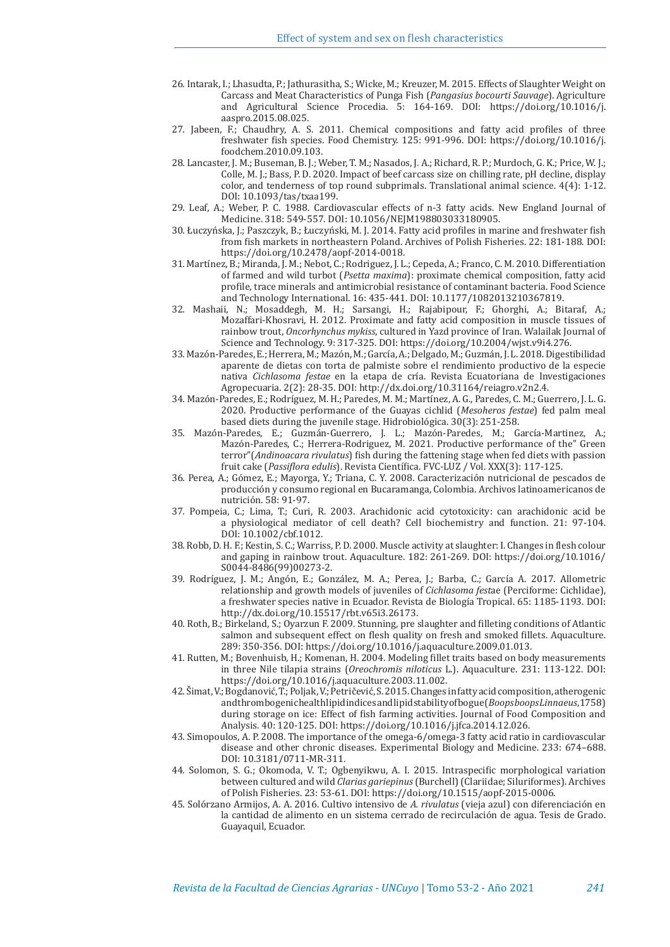- 26. Intarak, I.; Lhasudta, P.; Jathurasitha, S.; Wicke, M.; Kreuzer, M. 2015. Effects of Slaughter Weight on Carcass and Meat Characteristics of Punga Fish (*Pangasius bocourti Sauvage*). Agriculture and Agricultural Science Procedia. 5: 164-169. DOI: https://doi.org/10.1016/j. aaspro.2015.08.025.
- 27. Jabeen,  $F_i$ ; Chaudhry, A. S. 2011. Chemical compositions and fatty acid profiles of three freshwater fish species. Food Chemistry. 125: 991-996. DOI: https://doi.org/10.1016/j. foodchem.2010.09.103.
- 28. Lancaster, J. M.; Buseman, B. J.; Weber, T. M.; Nasados, J. A.; Richard, R. P.; Murdoch, G. K.; Price, W. J.; Colle, M. J.; Bass, P. D. 2020. Impact of beef carcass size on chilling rate, pH decline, display color, and tenderness of top round subprimals. Translational animal science. 4(4): 1-12. DOI: 10.1093/tas/txaa199.
- 29. Leaf, A.; Weber, P. C. 1988. Cardiovascular effects of n-3 fatty acids. New England Journal of Medicine. 318: 549-557. DOI: 10.1056/NEJM198803033180905.
- 30. Łuczyńska, J.; Paszczyk, B.; Łuczyński, M. J. 2014. Fatty acid profiles in marine and freshwater fish from fish markets in northeastern Poland. Archives of Polish Fisheries. 22: 181-188. DOI: https://doi.org/10.2478/aopf-2014-0018.
- 31. Martínez, B.; Miranda, J. M.; Nebot, C.; Rodriguez, J. L.; Cepeda, A.; Franco, C. M. 2010. Differentiation of farmed and wild turbot (*Psetta maxima*): proximate chemical composition, fatty acid profile, trace minerals and antimicrobial resistance of contaminant bacteria. Food Science and Technology International. 16: 435-441. DOI: 10.1177/1082013210367819.
- 32. Mashaii, N.; Mosaddegh, M. H.; Sarsangi, H.; Rajabipour, F.; Ghorghi, A.; Bitaraf, A.; Mozaffari-Khosravi, H. 2012. Proximate and fatty acid composition in muscle tissues of rainbow trout, *Oncorhynchus mykiss*, cultured in Yazd province of Iran. Walailak Journal of Science and Technology. 9: 317-325. DOI: https://doi.org/10.2004/wjst.v9i4.276.
- 33. Mazón-Paredes, E.; Herrera, M.; Mazón, M.; García, A.; Delgado, M.; Guzmán, J. L. 2018. Digestibilidad aparente de dietas con torta de palmiste sobre el rendimiento productivo de la especie nativa *Cichlasoma festae* en la etapa de cría. Revista Ecuatoriana de Investigaciones Agropecuaria. 2(2): 28-35. DOI: http://dx.doi.org/10.31164/reiagro.v2n2.4.
- 34. Mazón-Paredes, E.; Rodríguez, M. H.; Paredes, M. M.; Martínez, A. G., Paredes, C. M.; Guerrero, J. L. G. 2020. Productive performance of the Guayas cichlid (*Mesoheros festae*) fed palm meal based diets during the juvenile stage. Hidrobiológica. 30(3): 251-258.
- 35. Mazón-Paredes, E.; Guzmán-Guerrero, J. L.; Mazón-Paredes, M.; García-Martinez, A.; Mazón-Paredes, C.; Herrera-Rodriguez, M. 2021. Productive performance of the" Green terror"(*Andinoacara rivulatus*) fish during the fattening stage when fed diets with passion fruit cake (*Passiflora edulis*). Revista Científica. FVC-LUZ / Vol. XXX(3): 117-125.
- 36. Perea, A.; Gómez, E.; Mayorga, Y.; Triana, C. Y. 2008. Caracterización nutricional de pescados de producción y consumo regional en Bucaramanga, Colombia. Archivos latinoamericanos de nutrición. 58: 91-97.
- 37. Pompeia, C.; Lima, T.; Curi, R. 2003. Arachidonic acid cytotoxicity: can arachidonic acid be a physiological mediator of cell death? Cell biochemistry and function. 21: 97-104. DOI: 10.1002/cbf.1012.
- 38. Robb, D. H. F.; Kestin, S. C.; Warriss, P. D. 2000. Muscle activity at slaughter: I. Changes in flesh colour and gaping in rainbow trout. Aquaculture. 182: 261-269. DOI: https://doi.org/10.1016/ S0044-8486(99)00273-2.
- 39. Rodríguez, J. M.; Angón, E.; González, M. A.; Perea, J.; Barba, C.; García A. 2017. Allometric relationship and growth models of juveniles of *Cichlasoma fest*ae (Perciforme: Cichlidae), a freshwater species native in Ecuador. Revista de Biología Tropical. 65: 1185-1193. DOI: http://dx.doi.org/10.15517/rbt.v65i3.26173.
- 40. Roth, B.; Birkeland, S.; Oyarzun F. 2009. Stunning, pre slaughter and filleting conditions of Atlantic salmon and subsequent effect on flesh quality on fresh and smoked fillets. Aquaculture. 289: 350-356. DOI: https://doi.org/10.1016/j.aquaculture.2009.01.013.
- 41. Rutten, M.; Bovenhuisb, H.; Komenan, H. 2004. Modeling fillet traits based on body measurements in three Nile tilapia strains (*Oreochromis niloticus* L.). Aquaculture. 231: 113-122. DOI: https://doi.org/10.1016/j.aquaculture.2003.11.002.
- 42. Šimat, V.; Bogdanović, T.; Poljak, V.; Petričević, S. 2015. Changes in fatty acid composition, atherogenic and thrombogenic health lipid indices and lipid stability of bogue (*Boops boops Linnaeus*, 1758) during storage on ice: Effect of fish farming activities. Journal of Food Composition and Analysis. 40: 120-125. DOI: https://doi.org/10.1016/j.jfca.2014.12.026.
- 43. Simopoulos, A. P. 2008. The importance of the omega-6/omega-3 fatty acid ratio in cardiovascular disease and other chronic diseases. Experimental Biology and Medicine. 233: 674–688. DOI: 10.3181/0711-MR-311.
- 44. Solomon, S. G.; Okomoda, V. T.; Ogbenyikwu, A. I. 2015. Intraspecific morphological variation between cultured and wild *Clarias gariepinus* (Burchell) (Clariidae; Siluriformes). Archives of Polish Fisheries. 23: 53-61. DOI: https://doi.org/10.1515/aopf-2015-0006.
- 45. Solórzano Armijos, A. A. 2016. Cultivo intensivo de *A. rivulatus* (vieja azul) con diferenciación en la cantidad de alimento en un sistema cerrado de recirculación de agua. Tesis de Grado. Guayaquil, Ecuador.